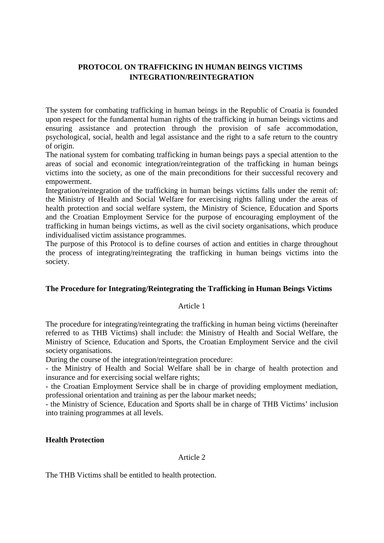# **PROTOCOL ON TRAFFICKING IN HUMAN BEINGS VICTIMS INTEGRATION/REINTEGRATION**

The system for combating trafficking in human beings in the Republic of Croatia is founded upon respect for the fundamental human rights of the trafficking in human beings victims and ensuring assistance and protection through the provision of safe accommodation, psychological, social, health and legal assistance and the right to a safe return to the country of origin.

The national system for combating trafficking in human beings pays a special attention to the areas of social and economic integration/reintegration of the trafficking in human beings victims into the society, as one of the main preconditions for their successful recovery and empowerment.

Integration/reintegration of the trafficking in human beings victims falls under the remit of: the Ministry of Health and Social Welfare for exercising rights falling under the areas of health protection and social welfare system, the Ministry of Science, Education and Sports and the Croatian Employment Service for the purpose of encouraging employment of the trafficking in human beings victims, as well as the civil society organisations, which produce individualised victim assistance programmes.

The purpose of this Protocol is to define courses of action and entities in charge throughout the process of integrating/reintegrating the trafficking in human beings victims into the society.

# **The Procedure for Integrating/Reintegrating the Trafficking in Human Beings Victims**

### Article 1

The procedure for integrating/reintegrating the trafficking in human being victims (hereinafter referred to as THB Victims) shall include: the Ministry of Health and Social Welfare, the Ministry of Science, Education and Sports, the Croatian Employment Service and the civil society organisations.

During the course of the integration/reintegration procedure:

- the Ministry of Health and Social Welfare shall be in charge of health protection and insurance and for exercising social welfare rights;

- the Croatian Employment Service shall be in charge of providing employment mediation, professional orientation and training as per the labour market needs;

- the Ministry of Science, Education and Sports shall be in charge of THB Victims' inclusion into training programmes at all levels.

### **Health Protection**

### Article 2

The THB Victims shall be entitled to health protection.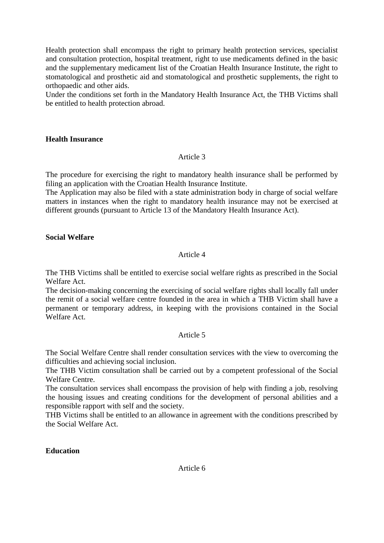Health protection shall encompass the right to primary health protection services, specialist and consultation protection, hospital treatment, right to use medicaments defined in the basic and the supplementary medicament list of the Croatian Health Insurance Institute, the right to stomatological and prosthetic aid and stomatological and prosthetic supplements, the right to orthopaedic and other aids.

Under the conditions set forth in the Mandatory Health Insurance Act, the THB Victims shall be entitled to health protection abroad.

### **Health Insurance**

### Article 3

The procedure for exercising the right to mandatory health insurance shall be performed by filing an application with the Croatian Health Insurance Institute.

The Application may also be filed with a state administration body in charge of social welfare matters in instances when the right to mandatory health insurance may not be exercised at different grounds (pursuant to Article 13 of the Mandatory Health Insurance Act).

### **Social Welfare**

### Article 4

The THB Victims shall be entitled to exercise social welfare rights as prescribed in the Social Welfare Act.

The decision-making concerning the exercising of social welfare rights shall locally fall under the remit of a social welfare centre founded in the area in which a THB Victim shall have a permanent or temporary address, in keeping with the provisions contained in the Social Welfare Act.

### Article 5

The Social Welfare Centre shall render consultation services with the view to overcoming the difficulties and achieving social inclusion.

The THB Victim consultation shall be carried out by a competent professional of the Social Welfare Centre.

The consultation services shall encompass the provision of help with finding a job, resolving the housing issues and creating conditions for the development of personal abilities and a responsible rapport with self and the society.

THB Victims shall be entitled to an allowance in agreement with the conditions prescribed by the Social Welfare Act.

**Education**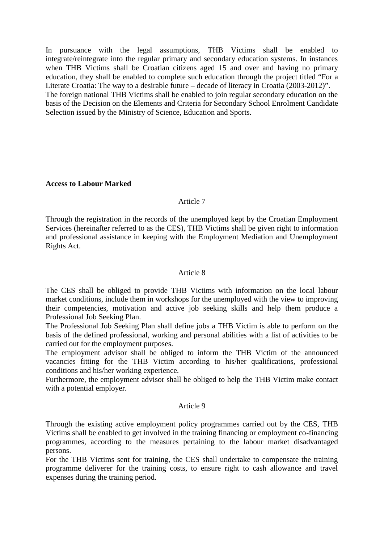In pursuance with the legal assumptions, THB Victims shall be enabled to integrate/reintegrate into the regular primary and secondary education systems. In instances when THB Victims shall be Croatian citizens aged 15 and over and having no primary education, they shall be enabled to complete such education through the project titled "For a Literate Croatia: The way to a desirable future – decade of literacy in Croatia (2003-2012)". The foreign national THB Victims shall be enabled to join regular secondary education on the basis of the Decision on the Elements and Criteria for Secondary School Enrolment Candidate Selection issued by the Ministry of Science, Education and Sports.

### **Access to Labour Marked**

### Article 7

Through the registration in the records of the unemployed kept by the Croatian Employment Services (hereinafter referred to as the CES), THB Victims shall be given right to information and professional assistance in keeping with the Employment Mediation and Unemployment Rights Act.

### Article 8

The CES shall be obliged to provide THB Victims with information on the local labour market conditions, include them in workshops for the unemployed with the view to improving their competencies, motivation and active job seeking skills and help them produce a Professional Job Seeking Plan.

The Professional Job Seeking Plan shall define jobs a THB Victim is able to perform on the basis of the defined professional, working and personal abilities with a list of activities to be carried out for the employment purposes.

The employment advisor shall be obliged to inform the THB Victim of the announced vacancies fitting for the THB Victim according to his/her qualifications, professional conditions and his/her working experience.

Furthermore, the employment advisor shall be obliged to help the THB Victim make contact with a potential employer.

### Article 9

Through the existing active employment policy programmes carried out by the CES, THB Victims shall be enabled to get involved in the training financing or employment co-financing programmes, according to the measures pertaining to the labour market disadvantaged persons.

For the THB Victims sent for training, the CES shall undertake to compensate the training programme deliverer for the training costs, to ensure right to cash allowance and travel expenses during the training period.